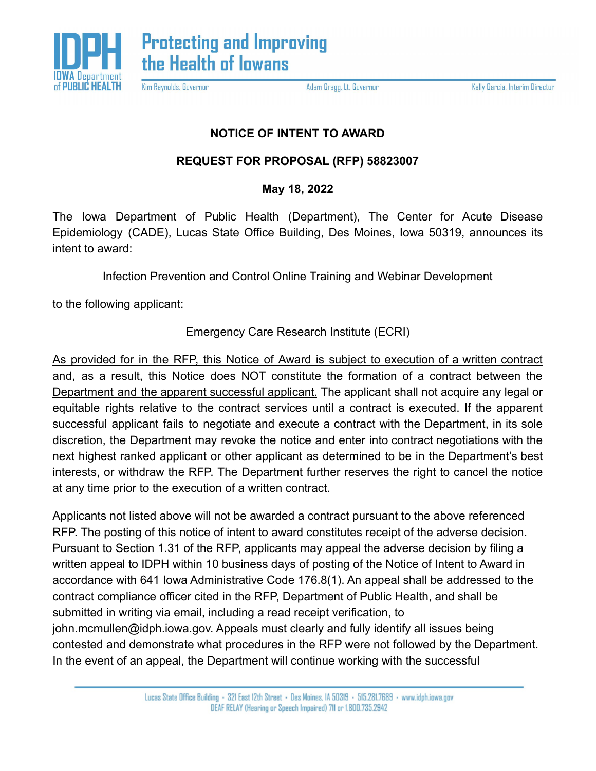

Kim Reynolds, Governor

Adam Gregg, Lt. Governor

Kelly Garcia, Interim Director

## **NOTICE OF INTENT TO AWARD**

## **REQUEST FOR PROPOSAL (RFP) 58823007**

## **May 18, 2022**

The Iowa Department of Public Health (Department), The Center for Acute Disease Epidemiology (CADE), Lucas State Office Building, Des Moines, Iowa 50319, announces its intent to award:

Infection Prevention and Control Online Training and Webinar Development

to the following applicant:

Emergency Care Research Institute (ECRI)

As provided for in the RFP, this Notice of Award is subject to execution of a written contract and, as a result, this Notice does NOT constitute the formation of a contract between the Department and the apparent successful applicant. The applicant shall not acquire any legal or equitable rights relative to the contract services until a contract is executed. If the apparent successful applicant fails to negotiate and execute a contract with the Department, in its sole discretion, the Department may revoke the notice and enter into contract negotiations with the next highest ranked applicant or other applicant as determined to be in the Department's best interests, or withdraw the RFP. The Department further reserves the right to cancel the notice at any time prior to the execution of a written contract.

Applicants not listed above will not be awarded a contract pursuant to the above referenced RFP. The posting of this notice of intent to award constitutes receipt of the adverse decision. Pursuant to Section 1.31 of the RFP, applicants may appeal the adverse decision by filing a written appeal to IDPH within 10 business days of posting of the Notice of Intent to Award in accordance with 641 Iowa Administrative Code 176.8(1). An appeal shall be addressed to the contract compliance officer cited in the RFP, Department of Public Health, and shall be submitted in writing via email, including a read receipt verification, to john.mcmullen@idph.iowa.gov. Appeals must clearly and fully identify all issues being contested and demonstrate what procedures in the RFP were not followed by the Department. In the event of an appeal, the Department will continue working with the successful